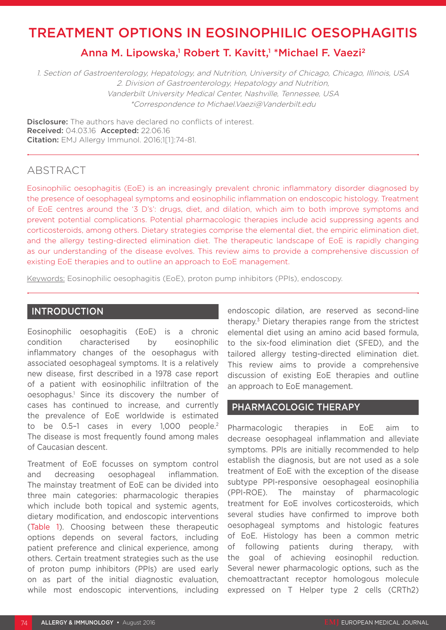# TREATMENT OPTIONS IN EOSINOPHILIC OESOPHAGITIS

## Anna M. Lipowska,<sup>1</sup> Robert T. Kavitt,<sup>1</sup> \*Michael F. Vaezi<sup>2</sup>

1. Section of Gastroenterology, Hepatology, and Nutrition, University of Chicago, Chicago, Illinois, USA 2. Division of Gastroenterology, Hepatology and Nutrition, Vanderbilt University Medical Center, Nashville, Tennessee, USA \*Correspondence to Michael.Vaezi@Vanderbilt.edu

**Disclosure:** The authors have declared no conflicts of interest. Received: 04.03.16 Accepted: 22.06.16 Citation: EMJ Allergy Immunol. 2016;1[1]:74-81.

## **ABSTRACT**

Eosinophilic oesophagitis (EoE) is an increasingly prevalent chronic inflammatory disorder diagnosed by the presence of oesophageal symptoms and eosinophilic inflammation on endoscopic histology. Treatment of EoE centres around the '3 D's': drugs, diet, and dilation, which aim to both improve symptoms and prevent potential complications. Potential pharmacologic therapies include acid suppressing agents and corticosteroids, among others. Dietary strategies comprise the elemental diet, the empiric elimination diet, and the allergy testing-directed elimination diet. The therapeutic landscape of EoE is rapidly changing as our understanding of the disease evolves. This review aims to provide a comprehensive discussion of existing EoE therapies and to outline an approach to EoE management.

Keywords: Eosinophilic oesophagitis (EoE), proton pump inhibitors (PPIs), endoscopy.

## INTRODUCTION

Eosinophilic oesophagitis (EoE) is a chronic condition characterised by eosinophilic inflammatory changes of the oesophagus with associated oesophageal symptoms. It is a relatively new disease, first described in a 1978 case report of a patient with eosinophilic infiltration of the oesophagus.1 Since its discovery the number of cases has continued to increase, and currently the prevalence of EoE worldwide is estimated to be 0.5-1 cases in every 1,000 people.<sup>2</sup> The disease is most frequently found among males of Caucasian descent.

Treatment of EoE focusses on symptom control and decreasing oesophageal inflammation. The mainstay treatment of EoE can be divided into three main categories: pharmacologic therapies which include both topical and systemic agents, dietary modification, and endoscopic interventions (Table 1). Choosing between these therapeutic options depends on several factors, including patient preference and clinical experience, among others. Certain treatment strategies such as the use of proton pump inhibitors (PPIs) are used early on as part of the initial diagnostic evaluation, while most endoscopic interventions, including

endoscopic dilation, are reserved as second-line therapy.3 Dietary therapies range from the strictest elemental diet using an amino acid based formula, to the six-food elimination diet (SFED), and the tailored allergy testing-directed elimination diet. This review aims to provide a comprehensive discussion of existing EoE therapies and outline an approach to EoE management.

### PHARMACOLOGIC THERAPY

Pharmacologic therapies in EoE aim to decrease oesophageal inflammation and alleviate symptoms. PPIs are initially recommended to help establish the diagnosis, but are not used as a sole treatment of EoE with the exception of the disease subtype PPI-responsive oesophageal eosinophilia (PPI-ROE). The mainstay of pharmacologic treatment for EoE involves corticosteroids, which several studies have confirmed to improve both oesophageal symptoms and histologic features of EoE. Histology has been a common metric of following patients during therapy, with the goal of achieving eosinophil reduction. Several newer pharmacologic options, such as the chemoattractant receptor homologous molecule expressed on T Helper type 2 cells (CRTh2)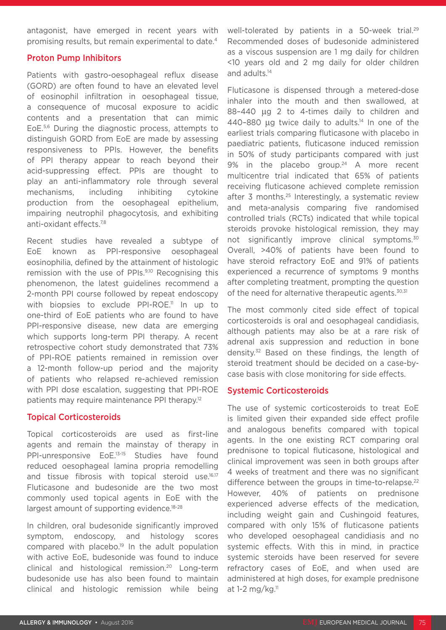antagonist, have emerged in recent years with promising results, but remain experimental to date.4

#### Proton Pump Inhibitors

Patients with gastro-oesophageal reflux disease (GORD) are often found to have an elevated level of eosinophil infiltration in oesophageal tissue, a consequence of mucosal exposure to acidic contents and a presentation that can mimic EoE.5,6 During the diagnostic process, attempts to distinguish GORD from EoE are made by assessing responsiveness to PPIs. However, the benefits of PPI therapy appear to reach beyond their acid-suppressing effect. PPIs are thought to play an anti-inflammatory role through several mechanisms, including inhibiting cytokine production from the oesophageal epithelium, impairing neutrophil phagocytosis, and exhibiting anti-oxidant effects.7,8

Recent studies have revealed a subtype of EoE known as PPI-responsive oesophageal eosinophilia, defined by the attainment of histologic remission with the use of PPIs.<sup>9,10</sup> Recognising this phenomenon, the latest guidelines recommend a 2-month PPI course followed by repeat endoscopy with biopsies to exclude PPI-ROE.<sup>11</sup> In up to one-third of EoE patients who are found to have PPI-responsive disease, new data are emerging which supports long-term PPI therapy. A recent retrospective cohort study demonstrated that 73% of PPI-ROE patients remained in remission over a 12-month follow-up period and the majority of patients who relapsed re-achieved remission with PPI dose escalation, suggesting that PPI-ROE patients may require maintenance PPI therapy.12

#### Topical Corticosteroids

Topical corticosteroids are used as first-line agents and remain the mainstay of therapy in PPI-unresponsive EoE.13-15 Studies have found reduced oesophageal lamina propria remodelling and tissue fibrosis with topical steroid use.<sup>16,17</sup> Fluticasone and budesonide are the two most commonly used topical agents in EoE with the largest amount of supporting evidence.<sup>18-28</sup>

In children, oral budesonide significantly improved symptom, endoscopy, and histology scores compared with placebo.19 In the adult population with active EoE, budesonide was found to induce clinical and histological remission.20 Long-term budesonide use has also been found to maintain clinical and histologic remission while being

well-tolerated by patients in a 50-week trial.<sup>29</sup> Recommended doses of budesonide administered as a viscous suspension are 1 mg daily for children <10 years old and 2 mg daily for older children and adults.14

Fluticasone is dispensed through a metered-dose inhaler into the mouth and then swallowed, at 88–440 µg 2 to 4-times daily to children and 440–880 µg twice daily to adults.14 In one of the earliest trials comparing fluticasone with placebo in paediatric patients, fluticasone induced remission in 50% of study participants compared with just 9% in the placebo group.<sup>24</sup> A more recent multicentre trial indicated that 65% of patients receiving fluticasone achieved complete remission after 3 months.<sup>25</sup> Interestingly, a systematic review and meta-analysis comparing five randomised controlled trials (RCTs) indicated that while topical steroids provoke histological remission, they may not significantly improve clinical symptoms.30 Overall, >40% of patients have been found to have steroid refractory EoE and 91% of patients experienced a recurrence of symptoms 9 months after completing treatment, prompting the question of the need for alternative therapeutic agents.<sup>30,31</sup>

The most commonly cited side effect of topical corticosteroids is oral and oesophageal candidiasis, although patients may also be at a rare risk of adrenal axis suppression and reduction in bone density.32 Based on these findings, the length of steroid treatment should be decided on a case-bycase basis with close monitoring for side effects.

#### Systemic Corticosteroids

The use of systemic corticosteroids to treat EoE is limited given their expanded side effect profile and analogous benefits compared with topical agents. In the one existing RCT comparing oral prednisone to topical fluticasone, histological and clinical improvement was seen in both groups after 4 weeks of treatment and there was no significant difference between the groups in time-to-relapse.<sup>22</sup> However, 40% of patients on prednisone experienced adverse effects of the medication, including weight gain and Cushingoid features, compared with only 15% of fluticasone patients who developed oesophageal candidiasis and no systemic effects. With this in mind, in practice systemic steroids have been reserved for severe refractory cases of EoE, and when used are administered at high doses, for example prednisone at 1-2 mg/kg. $11$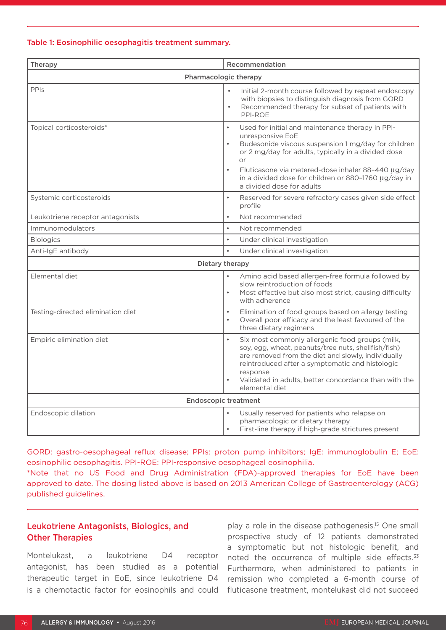#### Table 1: Eosinophilic oesophagitis treatment summary.

| Therapy                           | Recommendation                                                                                                                                                                                                                                                                                                                                                                     |
|-----------------------------------|------------------------------------------------------------------------------------------------------------------------------------------------------------------------------------------------------------------------------------------------------------------------------------------------------------------------------------------------------------------------------------|
| Pharmacologic therapy             |                                                                                                                                                                                                                                                                                                                                                                                    |
| PPIs                              | Initial 2-month course followed by repeat endoscopy<br>with biopsies to distinguish diagnosis from GORD<br>Recommended therapy for subset of patients with<br>$\bullet$<br>PPI-ROE                                                                                                                                                                                                 |
| Topical corticosteroids*          | Used for initial and maintenance therapy in PPI-<br>$\bullet$<br>unresponsive EoE<br>Budesonide viscous suspension 1 mg/day for children<br>$\bullet$<br>or 2 mg/day for adults, typically in a divided dose<br>$\Omega$ r<br>Fluticasone via metered-dose inhaler 88-440 µg/day<br>$\bullet$<br>in a divided dose for children or 880-1760 µg/day in<br>a divided dose for adults |
| Systemic corticosteroids          | Reserved for severe refractory cases given side effect<br>$\bullet$<br>profile                                                                                                                                                                                                                                                                                                     |
| Leukotriene receptor antagonists  | $\bullet$<br>Not recommended                                                                                                                                                                                                                                                                                                                                                       |
| Immunomodulators                  | $\bullet$<br>Not recommended                                                                                                                                                                                                                                                                                                                                                       |
| <b>Biologics</b>                  | $\bullet$<br>Under clinical investigation                                                                                                                                                                                                                                                                                                                                          |
| Anti-IgE antibody                 | $\bullet$<br>Under clinical investigation                                                                                                                                                                                                                                                                                                                                          |
| Dietary therapy                   |                                                                                                                                                                                                                                                                                                                                                                                    |
| Elemental diet                    | Amino acid based allergen-free formula followed by<br>$\bullet$<br>slow reintroduction of foods<br>Most effective but also most strict, causing difficulty<br>$\bullet$<br>with adherence                                                                                                                                                                                          |
| Testing-directed elimination diet | Elimination of food groups based on allergy testing<br>$\bullet$<br>Overall poor efficacy and the least favoured of the<br>$\bullet$<br>three dietary regimens                                                                                                                                                                                                                     |
| Empiric elimination diet          | Six most commonly allergenic food groups (milk,<br>$\bullet$<br>soy, egg, wheat, peanuts/tree nuts, shellfish/fish)<br>are removed from the diet and slowly, individually<br>reintroduced after a symptomatic and histologic<br>response<br>Validated in adults, better concordance than with the<br>$\bullet$<br>elemental diet                                                   |
| <b>Endoscopic treatment</b>       |                                                                                                                                                                                                                                                                                                                                                                                    |
| Endoscopic dilation               | Usually reserved for patients who relapse on<br>pharmacologic or dietary therapy<br>First-line therapy if high-grade strictures present<br>$\bullet$                                                                                                                                                                                                                               |

GORD: gastro-oesophageal reflux disease; PPIs: proton pump inhibitors; IgE: immunoglobulin E; EoE: eosinophilic oesophagitis. PPI-ROE: PPI-responsive oesophageal eosinophilia. \*Note that no US Food and Drug Administration (FDA)-approved therapies for EoE have been approved to date. The dosing listed above is based on 2013 American College of Gastroenterology (ACG)

published guidelines.

## Leukotriene Antagonists, Biologics, and Other Therapies

Montelukast, a leukotriene D4 receptor antagonist, has been studied as a potential therapeutic target in EoE, since leukotriene D4 is a chemotactic factor for eosinophils and could

play a role in the disease pathogenesis.15 One small prospective study of 12 patients demonstrated a symptomatic but not histologic benefit, and noted the occurrence of multiple side effects.<sup>33</sup> Furthermore, when administered to patients in remission who completed a 6-month course of fluticasone treatment, montelukast did not succeed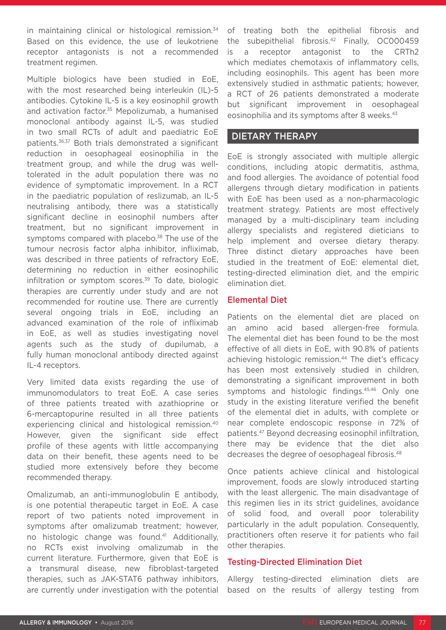in maintaining clinical or histological remission.<sup>34</sup> Based on this evidence, the use of leukotriene receptor antagonists is not a recommended treatment regimen.

Multiple biologics have been studied in EoE, with the most researched being interleukin (IL)-5 antibodies. Cytokine IL-5 is a key eosinophil growth and activation factor.<sup>35</sup> Mepolizumab, a humanised monoclonal antibody against IL-5, was studied in two small RCTs of adult and paediatric EoE patients.36,37 Both trials demonstrated a significant reduction in oesophageal eosinophilia in the treatment group, and while the drug was welltolerated in the adult population there was no evidence of symptomatic improvement. In a RCT in the paediatric population of reslizumab, an IL-5 neutralising antibody, there was a statistically significant decline in eosinophil numbers after treatment, but no significant improvement in symptoms compared with placebo.<sup>38</sup> The use of the tumour necrosis factor alpha inhibitor, infliximab, was described in three patients of refractory EoE, determining no reduction in either eosinophilic infiltration or symptom scores.<sup>39</sup> To date, biologic therapies are currently under study and are not recommended for routine use. There are currently several ongoing trials in EoE, including an advanced examination of the role of infliximab in EoE, as well as studies investigating novel agents such as the study of dupilumab, a fully human monoclonal antibody directed against IL-4 receptors.

Very limited data exists regarding the use of immunomodulators to treat EoE. A case series of three patients treated with azathioprine or 6-mercaptopurine resulted in all three patients experiencing clinical and histological remission.40 However, given the significant side effect profile of these agents with little accompanying data on their benefit, these agents need to be studied more extensively before they become recommended therapy.

Omalizumab, an anti-immunoglobulin E antibody, is one potential therapeutic target in EoE. A case report of two patients noted improvement in symptoms after omalizumab treatment; however, no histologic change was found.<sup>41</sup> Additionally, no RCTs exist involving omalizumab in the current literature. Furthermore, given that EoE is a transmural disease, new fibroblast-targeted therapies, such as JAK-STAT6 pathway inhibitors, are currently under investigation with the potential

of treating both the epithelial fibrosis and the subepithelial fibrosis.42 Finally, OC000459 is a receptor antagonist to the CRTh2 which mediates chemotaxis of inflammatory cells. including eosinophils. This agent has been more extensively studied in asthmatic patients; however, a RCT of 26 patients demonstrated a moderate but significant improvement in oesophageal eosinophilia and its symptoms after 8 weeks.<sup>43</sup>

### DIETARY THERAPY

EoE is strongly associated with multiple allergic conditions, including atopic dermatitis, asthma, and food allergies. The avoidance of potential food allergens through dietary modification in patients with EoE has been used as a non-pharmacologic treatment strategy. Patients are most effectively managed by a multi-disciplinary team including allergy specialists and registered dieticians to help implement and oversee dietary therapy. Three distinct dietary approaches have been studied in the treatment of EoE: elemental diet, testing-directed elimination diet, and the empiric elimination diet.

#### Elemental Diet

Patients on the elemental diet are placed on an amino acid based allergen-free formula. The elemental diet has been found to be the most effective of all diets in EoE, with 90.8% of patients achieving histologic remission.<sup>44</sup> The diet's efficacy has been most extensively studied in children, demonstrating a significant improvement in both symptoms and histologic findings.45,46 Only one study in the existing literature verified the benefit of the elemental diet in adults, with complete or near complete endoscopic response in 72% of patients.47 Beyond decreasing eosinophil infiltration, there may be evidence that the diet also decreases the degree of oesophageal fibrosis.48

Once patients achieve clinical and histological improvement, foods are slowly introduced starting with the least allergenic. The main disadvantage of this regimen lies in its strict guidelines, avoidance of solid food, and overall poor tolerability particularly in the adult population. Consequently, practitioners often reserve it for patients who fail other therapies.

#### Testing-Directed Elimination Diet

Allergy testing-directed elimination diets are based on the results of allergy testing from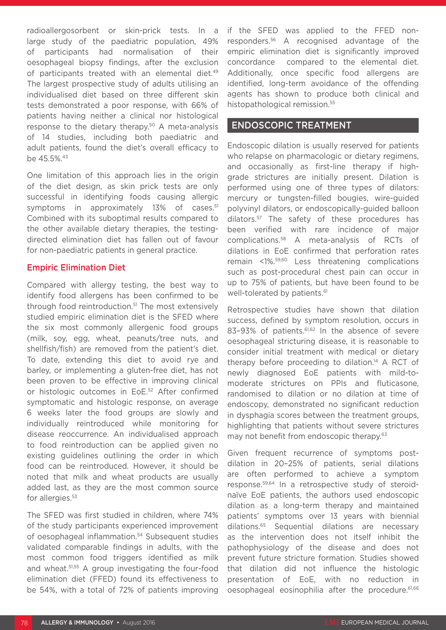radioallergosorbent or skin-prick tests. In a large study of the paediatric population, 49% of participants had normalisation of their oesophageal biopsy findings, after the exclusion of participants treated with an elemental diet.<sup>49</sup> The largest prospective study of adults utilising an individualised diet based on three different skin tests demonstrated a poor response, with 66% of patients having neither a clinical nor histological response to the dietary therapy.50 A meta-analysis of 14 studies, including both paediatric and adult patients, found the diet's overall efficacy to be 45.5%.<sup>43</sup>

One limitation of this approach lies in the origin of the diet design, as skin prick tests are only successful in identifying foods causing allergic symptoms in approximately 13% of cases.<sup>51</sup> Combined with its suboptimal results compared to the other available dietary therapies, the testingdirected elimination diet has fallen out of favour for non-paediatric patients in general practice.

#### Empiric Elimination Diet

Compared with allergy testing, the best way to identify food allergens has been confirmed to be through food reintroduction.<sup>51</sup> The most extensively studied empiric elimination diet is the SFED where the six most commonly allergenic food groups (milk, soy, egg, wheat, peanuts/tree nuts, and shellfish/fish) are removed from the patient's diet. To date, extending this diet to avoid rye and barley, or implementing a gluten-free diet, has not been proven to be effective in improving clinical or histologic outcomes in EoE.52 After confirmed symptomatic and histologic response, on average 6 weeks later the food groups are slowly and individually reintroduced while monitoring for disease reoccurrence. An individualised approach to food reintroduction can be applied given no existing guidelines outlining the order in which food can be reintroduced. However, it should be noted that milk and wheat products are usually added last, as they are the most common source for allergies.<sup>53</sup>

The SFED was first studied in children, where 74% of the study participants experienced improvement of oesophageal inflammation.54 Subsequent studies validated comparable findings in adults, with the most common food triggers identified as milk and wheat.51,55 A group investigating the four-food elimination diet (FFED) found its effectiveness to be 54%, with a total of 72% of patients improving if the SFED was applied to the FFED nonresponders.56 A recognised advantage of the empiric elimination diet is significantly improved concordance compared to the elemental diet. Additionally, once specific food allergens are identified, long-term avoidance of the offending agents has shown to produce both clinical and histopathological remission.<sup>55</sup>

### ENDOSCOPIC TREATMENT

Endoscopic dilation is usually reserved for patients who relapse on pharmacologic or dietary regimens, and occasionally as first-line therapy if highgrade strictures are initially present. Dilation is performed using one of three types of dilators: mercury or tungsten-filled bougies, wire-guided polyvinyl dilators, or endoscopically-guided balloon dilators.57 The safety of these procedures has been verified with rare incidence of major complications.58 A meta-analysis of RCTs of dilations in EoE confirmed that perforation rates remain <1%.59,60 Less threatening complications such as post-procedural chest pain can occur in up to 75% of patients, but have been found to be well-tolerated by patients.<sup>61</sup>

Retrospective studies have shown that dilation success, defined by symptom resolution, occurs in 83-93% of patients.<sup>61,62</sup> In the absence of severe oesophageal stricturing disease, it is reasonable to consider initial treatment with medical or dietary therapy before proceeding to dilation.14 A RCT of newly diagnosed EoE patients with mild-tomoderate strictures on PPIs and fluticasone, randomised to dilation or no dilation at time of endoscopy, demonstrated no significant reduction in dysphagia scores between the treatment groups, highlighting that patients without severe strictures may not benefit from endoscopic therapy.<sup>63</sup>

Given frequent recurrence of symptoms postdilation in 20–25% of patients, serial dilations are often performed to achieve a symptom response.59,64 In a retrospective study of steroidnaïve EoE patients, the authors used endoscopic dilation as a long-term therapy and maintained patients' symptoms over 13 years with biennial dilations.65 Sequential dilations are necessary as the intervention does not itself inhibit the pathophysiology of the disease and does not prevent future stricture formation. Studies showed that dilation did not influence the histologic presentation of EoE, with no reduction in oesophageal eosinophilia after the procedure.<sup>61,66</sup>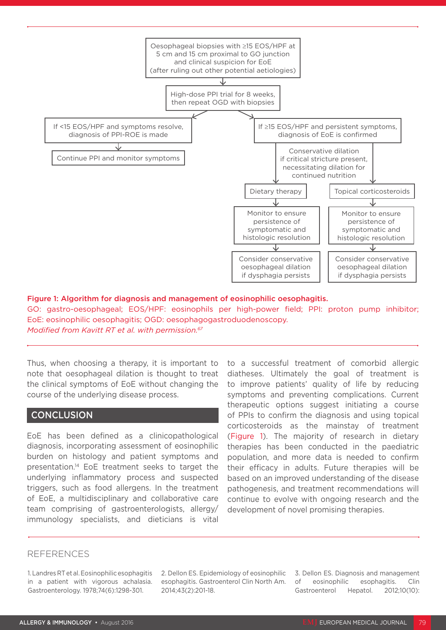

Figure 1: Algorithm for diagnosis and management of eosinophilic oesophagitis.

GO: gastro-oesophageal; EOS/HPF: eosinophils per high-power field; PPI: proton pump inhibitor; EoE: eosinophilic oesophagitis; OGD: oesophagogastroduodenoscopy. *Modified from Kavitt RT et al. with permission.67*

Thus, when choosing a therapy, it is important to note that oesophageal dilation is thought to treat the clinical symptoms of EoE without changing the course of the underlying disease process.

### **CONCLUSION**

EoE has been defined as a clinicopathological diagnosis, incorporating assessment of eosinophilic burden on histology and patient symptoms and presentation.14 EoE treatment seeks to target the underlying inflammatory process and suspected triggers, such as food allergens. In the treatment of EoE, a multidisciplinary and collaborative care team comprising of gastroenterologists, allergy/ immunology specialists, and dieticians is vital

to a successful treatment of comorbid allergic diatheses. Ultimately the goal of treatment is to improve patients' quality of life by reducing symptoms and preventing complications. Current therapeutic options suggest initiating a course of PPIs to confirm the diagnosis and using topical corticosteroids as the mainstay of treatment (Figure 1). The majority of research in dietary therapies has been conducted in the paediatric population, and more data is needed to confirm their efficacy in adults. Future therapies will be based on an improved understanding of the disease pathogenesis, and treatment recommendations will continue to evolve with ongoing research and the development of novel promising therapies.

#### REFERENCES

1. Landres RT et al. Eosinophilic esophagitis in a patient with vigorous achalasia. Gastroenterology. 1978;74(6):1298-301.

2. Dellon ES. Epidemiology of eosinophilic esophagitis. Gastroenterol Clin North Am. 2014;43(2):201-18.

3. Dellon ES. Diagnosis and management of eosinophilic esophagitis. Clin Gastroenterol Hepatol. 2012;10(10):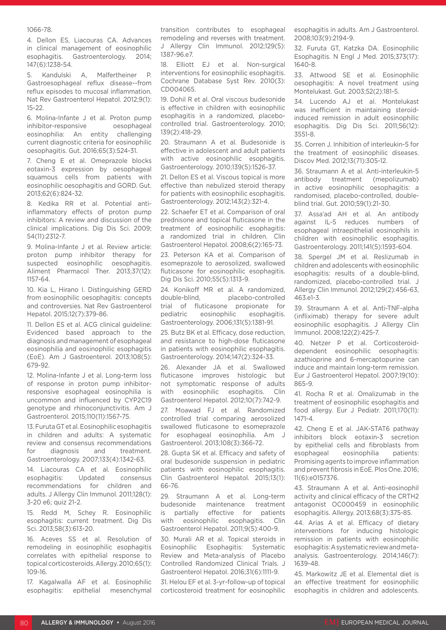#### 1066-78.

4. Dellon ES, Liacouras CA. Advances in clinical management of eosinophilic esophagitis. Gastroenterology. 2014; 147(6):1238-54.

5. Kandulski A, Malfertheiner P. Gastroesophageal reflux disease--from reflux episodes to mucosal inflammation. Nat Rev Gastroenterol Hepatol. 2012;9(1): 15-22.

6. Molina-Infante J et al. Proton pump inhibitor-responsive oesophageal eosinophilia: An entity challenging current diagnostic criteria for eosinophilic oesophagitis. Gut. 2016;65(3):524-31.

7. Cheng E et al. Omeprazole blocks eotaxin-3 expression by oesophageal squamous cells from patients with eosinophilic oesophagitis and GORD. Gut. 2013;62(6):824-32.

8. Kedika RR et al. Potential antiinflammatory effects of proton pump inhibitors: A review and discussion of the clinical implications. Dig Dis Sci. 2009; 54(11):2312-7.

9. Molina-Infante J et al. Review article: proton pump inhibitor therapy for suspected eosinophilic oesophagitis. Aliment Pharmacol Ther. 2013;37(12): 1157-64.

10. Kia L, Hirano I. Distinguishing GERD from eosinophilic oesophagitis: concepts and controversies. Nat Rev Gastroenterol Hepatol. 2015;12(7):379-86.

11. Dellon ES et al. ACG clinical guideline: Evidenced based approach to the diagnosis and management of esophageal eosinophilia and eosinophilic esophagitis (EoE). Am J Gastroenterol. 2013;108(5): 679-92.

12. Molina-Infante J et al. Long-term loss of response in proton pump inhibitorresponsive esophageal eosinophilia is uncommon and influenced by CYP2C19 genotype and rhinoconjunctivitis. Am J Gastroenterol. 2015;110(11):1567-75.

13. Furuta GT et al. Eosinophilic esophagitis in children and adults: A systematic review and consensus recommendations for diagnosis and treatment. Gastroenterology. 2007;133(4):1342-63.

14. Liacouras CA et al. Eosinophilic esophagitis: Updated consensus recommendations for children and adults. J Allergy Clin Immunol. 2011;128(1): 3-20 e6; quiz 21-2.

15. Redd M, Schey R. Eosinophilic esophagitis: current treatment. Dig Dis Sci. 2013;58(3):613-20.

16. Aceves SS et al. Resolution of remodeling in eosinophilic esophagitis correlates with epithelial response to topical corticosteroids. Allergy. 2010;65(1): 109-16.

17. Kagalwalla AF et al. Eosinophilic esophagitis: epithelial mesenchymal transition contributes to esophageal remodeling and reverses with treatment. J Allergy Clin Immunol. 2012;129(5): 1387-96.e7.

18. Elliott EJ et al. Non-surgical interventions for eosinophilic esophagitis. Cochrane Database Syst Rev. 2010(3): CD004065.

19. Dohil R et al. Oral viscous budesonide is effective in children with eosinophilic esophagitis in a randomized, placebocontrolled trial. Gastroenterology. 2010; 139(2):418-29.

20. Straumann A et al. Budesonide is effective in adolescent and adult patients with active eosinophilic esophagitis. Gastroenterology. 2010;139(5):1526-37.

21. Dellon ES et al. Viscous topical is more effective than nebulized steroid therapy for patients with eosinophilic esophagitis. Gastroenterology. 2012;143(2):321-4.

22. Schaefer ET et al. Comparison of oral prednisone and topical fluticasone in the treatment of eosinophilic esophagitis: a randomized trial in children. Clin Gastroenterol Hepatol. 2008;6(2):165-73.

23. Peterson KA et al. Comparison of esomeprazole to aerosolized, swallowed fluticasone for eosinophilic esophagitis. Dig Dis Sci. 2010;55(5):1313-9.

24. Konikoff MR et al. A randomized, double-blind, placebo-controlled trial of fluticasone propionate for pediatric eosinophilic esophagitis. Gastroenterology. 2006;131(5):1381-91.

25. Butz BK et al. Efficacy, dose reduction, and resistance to high-dose fluticasone in patients with eosinophilic esophagitis. Gastroenterology. 2014;147(2):324-33.

26. Alexander JA et al. Swallowed fluticasone improves histologic but not symptomatic response of adults with eosinophilic esophagitis. Clin Gastroenterol Hepatol. 2012;10(7):742-9.

27. Moawad FJ et al. Randomized controlled trial comparing aerosolized swallowed fluticasone to esomeprazole for esophageal eosinophilia. Am J Gastroenterol. 2013;108(3):366-72.

28. Gupta SK et al. Efficacy and safety of oral budesonide suspension in pediatric patients with eosinophilic esophagitis. Clin Gastroenterol Hepatol. 2015;13(1): 66-76.

29. Straumann A et al. Long-term budesonide maintenance treatment is partially effective for patients with eosinophilic esophagitis. Clin Gastroenterol Hepatol. 2011;9(5):400-9.

30. Murali AR et al. Topical steroids in Eosinophilic Esophagitis: Systematic Review and Meta-analysis of Placebo Controlled Randomized Clinical Trials. J Gastroenterol Hepatol. 2016;31(6):1111-9.

31. Helou EF et al. 3-yr-follow-up of topical corticosteroid treatment for eosinophilic

esophagitis in adults. Am J Gastroenterol. 2008;103(9):2194-9.

32. Furuta GT, Katzka DA. Eosinophilic Esophagitis. N Engl J Med. 2015;373(17): 1640-8.

33. Attwood SE et al. Eosinophilic oesophagitis: A novel treatment using Montelukast. Gut. 2003;52(2):181-5.

34. Lucendo AJ et al. Montelukast was inefficient in maintaining steroidinduced remission in adult eosinophilic esophagitis. Dig Dis Sci. 2011;56(12): 3551-8.

35. Corren J. Inhibition of interleukin-5 for the treatment of eosinophilic diseases. Discov Med. 2012;13(71):305-12.

36. Straumann A et al. Anti-interleukin-5 antibody treatment (mepolizumab) in active eosinophilic oesophagitis: a randomised, placebo-controlled, doubleblind trial. Gut. 2010;59(1):21-30.

37. Assa'ad AH et al. An antibody against IL-5 reduces numbers of esophageal intraepithelial eosinophils in children with eosinophilic esophagitis. Gastroenterology. 2011;141(5):1593-604.

38. Spergel JM et al. Reslizumab in children and adolescents with eosinophilic esophagitis: results of a double-blind, randomized, placebo-controlled trial. J Allergy Clin Immunol. 2012;129(2):456-63, 463.e1-3.

39. Straumann A et al. Anti-TNF-alpha (infliximab) therapy for severe adult eosinophilic esophagitis. J Allergy Clin Immunol. 2008;122(2):425-7.

40. Netzer P et al. Corticosteroiddependent eosinophilic oesophagitis: azathioprine and 6-mercaptopurine can induce and maintain long-term remission. Eur J Gastroenterol Hepatol. 2007;19(10): 865-9.

41. Rocha R et al. Omalizumab in the treatment of eosinophilic esophagitis and food allergy. Eur J Pediatr. 2011;170(11): 1471-4.

42. Cheng E et al. JAK-STAT6 pathway inhibitors block eotaxin-3 secretion by epithelial cells and fibroblasts from esophageal eosinophilia patients: Promising agents to improve inflammation and prevent fibrosis in EoE. Plos One. 2016; 11(6):e0157376.

43. Straumann A et al. Anti-eosinophil activity and clinical efficacy of the CRTH2 antagonist OC000459 in eosinophilic esophagitis. Allergy. 2013;68(3):375-85.

44. Arias A et al. Efficacy of dietary interventions for inducing histologic remission in patients with eosinophilic esophagitis: A systematic review and metaanalysis. Gastroenterology. 2014;146(7): 1639-48.

45. Markowitz JE et al. Elemental diet is an effective treatment for eosinophilic esophagitis in children and adolescents.